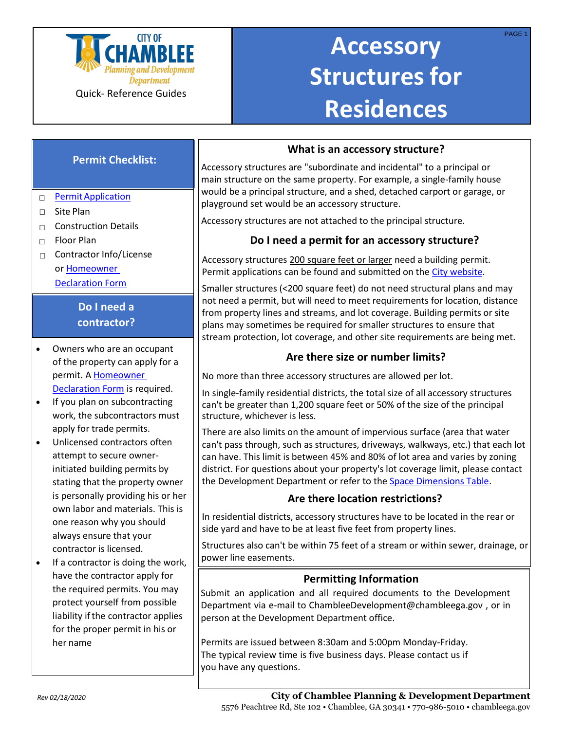

# **Accessory Structures for Residences**

# **Permit Checklist:**

### □ Permit Application

- □ Site Plan
- $\Box$  Construction Details
- $\Box$  Floor Plan
- □ Contractor Info/License o[r Homeowner](http://www.chambleega.gov/DocumentCenter/View/1680) [Declaration](http://www.chambleega.gov/DocumentCenter/View/1680) Form

# **Do I need a contractor?**

- Owners who are an occupant of the property can apply for a permit. A [Homeowner](http://www.chambleega.gov/DocumentCenter/View/1680) [Declaration Form](http://www.chambleega.gov/DocumentCenter/View/1680) is required.
- If you plan on subcontracting work, the subcontractors must apply for trade permits.
- Unlicensed contractors often attempt to secure ownerinitiated building permits by stating that the property owner is personally providing his or her own labor and materials. This is one reason why you should always ensure that your contractor is licensed.
- If a contractor is doing the work, have the contractor apply for the required permits. You may protect yourself from possible liability if the contractor applies for the proper permit in his or her name

### **What is an accessory structure?**

Accessory structures are "subordinate and incidental" to a principal or main structure on the same property. For example, a single-family house would be a principal structure, and a shed, detached carport or garage, or playground set would be an accessory structure.

Accessory structures are not attached to the principal structure.

## **Do I need a permit for an accessory structure?**

Accessory structures 200 square feet or larger need a building permit. Permit applications can be found and submitte[d on the City w](http://www.chambleega.gov/152/Applications-and-Forms)ebsite.

Smaller structures (<200 square feet) do not need structural plans and may not need a permit, but will need to meet requirements for location, distance from property lines and streams, and lot coverage. Building permits or site plans may sometimes be required for smaller structures to ensure that stream protection, lot coverage, and other site requirements are being met.

# **Are there size or number limits?**

No more than three accessory structures are allowed per lot.

In single-family residential districts, the total size of all accessory structures can't be greater than 1,200 square feet or 50% of the size of the principal structure, whichever is less.

There are also limits on the amount of impervious surface (area that water can't pass through, such as structures, driveways, walkways, etc.) that each lot can have. This limit is between 45% and 80% of lot area and varies by zoning district. For questions about your property's lot coverage limit, please contact the Development Department or refer to the [Space Dimensions Table.](http://www.chambleega.com/DocumentCenter/View/2222)

### **Are there location restrictions?**

In residential districts, accessory structures have to be located in the rear or side yard and have to be at least five feet from property lines.

Structures also can't be within 75 feet of a stream or within sewer, drainage, or power line easements.

### **Permitting Information**

Submit an application and all required documents to the Development Department via e-mail to [ChambleeDevelopment@chambleega.gov](mailto:ChambleeDevelopment@chambleega.gov) , or in person at the Development Department office.

Permits are issued between 8:30am and 5:00pm Monday-Friday. The typical review time is five business days. Please contact us if you have any questions.

PAGE 1